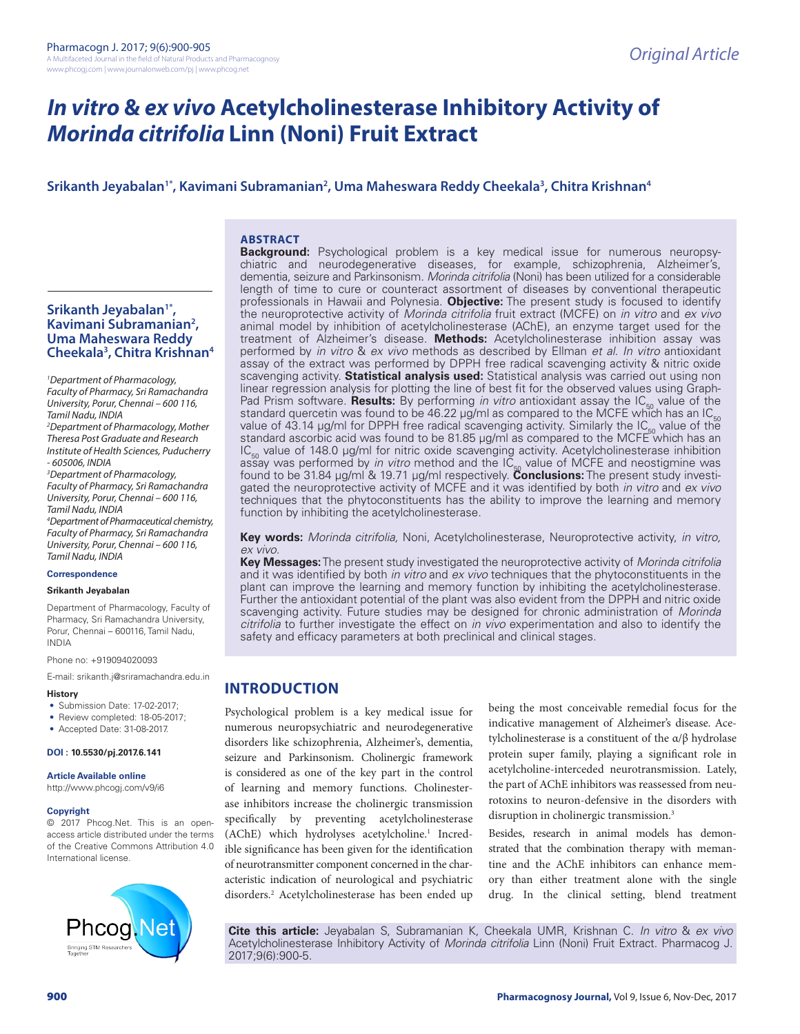# *In vitro* **&** *ex vivo* **Acetylcholinesterase Inhibitory Activity of**  *Morinda citrifolia* **Linn (Noni) Fruit Extract**

# **Srikanth Jeyabalan1\*, Kavimani Subramanian2 , Uma Maheswara Reddy Cheekala3 , Chitra Krishnan4**

#### **ABSTRACT**

# **Srikanth Jeyabalan1\*, Kavimani Subramanian2 , Uma Maheswara Reddy Cheekala3 , Chitra Krishnan4**

*1 Department of Pharmacology, Faculty of Pharmacy, Sri Ramachandra University, Porur, Chennai – 600 116, Tamil Nadu, INDIA 2 Department of Pharmacology, Mother Theresa Post Graduate and Research Institute of Health Sciences, Puducherry - 605006, INDIA 3 Department of Pharmacology, Faculty of Pharmacy, Sri Ramachandra University, Porur, Chennai – 600 116, Tamil Nadu, INDIA 4 Department of Pharmaceutical chemistry, Faculty of Pharmacy, Sri Ramachandra University, Porur, Chennai – 600 116, Tamil Nadu, INDIA*

#### **Correspondence**

#### **Srikanth Jeyabalan**

Department of Pharmacology, Faculty of Pharmacy, Sri Ramachandra University, Porur, Chennai – 600116, Tamil Nadu, INDIA

Phone no: +919094020093

E-mail: srikanth.j@sriramachandra.edu.in

#### **History**

- Submission Date: 17-02-2017;
- Review completed: 18-05-2017;
- Accepted Date: 31-08-2017.

#### **DOI : 10.5530/pj.2017.6.141**

**Article Available online** 

http://www.phcogj.com/v9/i6

#### **Copyright**

© 2017 Phcog.Net. This is an openaccess article distributed under the terms of the Creative Commons Attribution 4.0 International license.



**Background:** Psychological problem is a key medical issue for numerous neuropsychiatric and neurodegenerative diseases, for example, schizophrenia, Alzheimer's, dementia, seizure and Parkinsonism. *Morinda citrifolia* (Noni) has been utilized for a considerable length of time to cure or counteract assortment of diseases by conventional therapeutic professionals in Hawaii and Polynesia. **Objective:** The present study is focused to identify the neuroprotective activity of *Morinda citrifolia* fruit extract (MCFE) on *in vitro* and *ex vivo* animal model by inhibition of acetylcholinesterase (AChE), an enzyme target used for the treatment of Alzheimer's disease. **Methods:** Acetylcholinesterase inhibition assay was performed by *in vitro* & *ex vivo* methods as described by Ellman *et al*. *In vitro* antioxidant assay of the extract was performed by DPPH free radical scavenging activity & nitric oxide scavenging activity. **Statistical analysis used:** Statistical analysis was carried out using non linear regression analysis for plotting the line of best fit for the observed values using Graph-Pad Prism software. **Results:** By performing *in vitro* antioxidant assay the IC<sub>50</sub> value of the standard quercetin was found to be 46.22 µg/ml as compared to the MCFE which has an IC<sub>50</sub> standard quercetin was found to be 46.22 µg/ml as compared to the MCFE which has an IC<sub>50</sub><br>value of 43.14 µg/ml for DPPH free radical scavenging activity. Similarly the IC<sub>50</sub> value of the<br>standard ascorbic acid was found  $IC_{50}$  value of 148.0 µg/ml for nitric oxide scavenging activity. Acetylcholinesterase inhibition assay was performed by *in vitro* method and the IC<sub>50</sub> value of MCFE and neostigmine was<br>found to be 31.84 µg/ml & 19.71 µg/ml respectively. **Conclusions:** The present study investigated the neuroprotective activity of MCFE and it was identified by both *in vitro* and *ex vivo* techniques that the phytoconstituents has the ability to improve the learning and memory function by inhibiting the acetylcholinesterase.

**Key words:** *Morinda citrifolia,* Noni, Acetylcholinesterase, Neuroprotective activity, *in vitro, ex vivo*.

**Key Messages:** The present study investigated the neuroprotective activity of *Morinda citrifolia* and it was identified by both *in vitro* and *ex vivo* techniques that the phytoconstituents in the plant can improve the learning and memory function by inhibiting the acetylcholinesterase. Further the antioxidant potential of the plant was also evident from the DPPH and nitric oxide scavenging activity. Future studies may be designed for chronic administration of *Morinda citrifolia* to further investigate the effect on *in vivo* experimentation and also to identify the safety and efficacy parameters at both preclinical and clinical stages.

# **INTRODUCTION**

Psychological problem is a key medical issue for numerous neuropsychiatric and neurodegenerative disorders like schizophrenia, Alzheimer's, dementia, seizure and Parkinsonism. Cholinergic framework is considered as one of the key part in the control of learning and memory functions. Cholinesterase inhibitors increase the cholinergic transmission specifically by preventing acetylcholinesterase (AChE) which hydrolyses acetylcholine.<sup>1</sup> Incredible significance has been given for the identification of neurotransmitter component concerned in the characteristic indication of neurological and psychiatric disorders.2 Acetylcholinesterase has been ended up being the most conceivable remedial focus for the indicative management of Alzheimer's disease. Acetylcholinesterase is a constituent of the α/β hydrolase protein super family, playing a significant role in acetylcholine-interceded neurotransmission. Lately, the part of AChE inhibitors was reassessed from neurotoxins to neuron-defensive in the disorders with disruption in cholinergic transmission.3

Besides, research in animal models has demonstrated that the combination therapy with memantine and the AChE inhibitors can enhance memory than either treatment alone with the single drug. In the clinical setting, blend treatment

**Cite this article:** Jeyabalan S, Subramanian K, Cheekala UMR, Krishnan C. *In vitro* & *ex vivo* Acetylcholinesterase Inhibitory Activity of *Morinda citrifolia* Linn (Noni) Fruit Extract. Pharmacog J. 2017;9(6):900-5.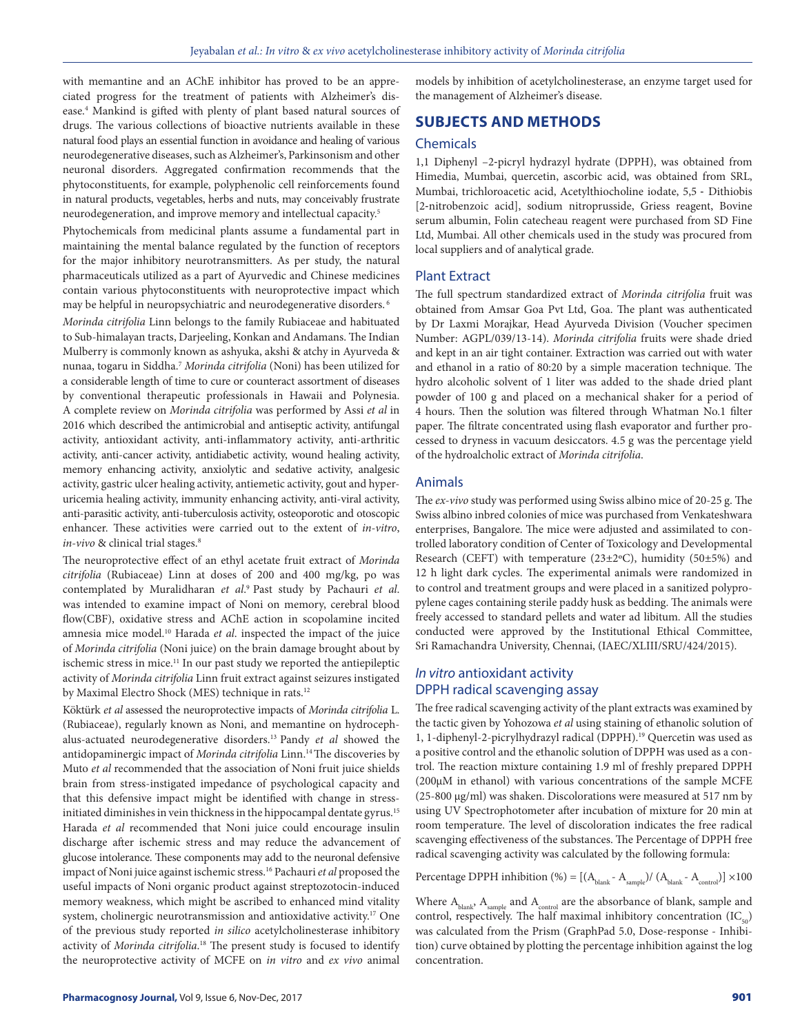with memantine and an AChE inhibitor has proved to be an appreciated progress for the treatment of patients with Alzheimer's disease.4 Mankind is gifted with plenty of plant based natural sources of drugs. The various collections of bioactive nutrients available in these natural food plays an essential function in avoidance and healing of various neurodegenerative diseases, such as Alzheimer's, Parkinsonism and other neuronal disorders. Aggregated confirmation recommends that the phytoconstituents, for example, polyphenolic cell reinforcements found in natural products, vegetables, herbs and nuts, may conceivably frustrate neurodegeneration, and improve memory and intellectual capacity.5

Phytochemicals from medicinal plants assume a fundamental part in maintaining the mental balance regulated by the function of receptors for the major inhibitory neurotransmitters. As per study, the natural pharmaceuticals utilized as a part of Ayurvedic and Chinese medicines contain various phytoconstituents with neuroprotective impact which may be helpful in neuropsychiatric and neurodegenerative disorders. 6

*Morinda citrifolia* Linn belongs to the family Rubiaceae and habituated to Sub-himalayan tracts, Darjeeling, Konkan and Andamans. The Indian Mulberry is commonly known as ashyuka, akshi & atchy in Ayurveda & nunaa, togaru in Siddha.7 *Morinda citrifolia* (Noni) has been utilized for a considerable length of time to cure or counteract assortment of diseases by conventional therapeutic professionals in Hawaii and Polynesia. A complete review on *Morinda citrifolia* was performed by Assi *et al* in 2016 which described the antimicrobial and antiseptic activity, antifungal activity, antioxidant activity, anti-inflammatory activity, anti-arthritic activity, anti-cancer activity, antidiabetic activity, wound healing activity, memory enhancing activity, anxiolytic and sedative activity, analgesic activity, gastric ulcer healing activity, antiemetic activity, gout and hyperuricemia healing activity, immunity enhancing activity, anti-viral activity, anti-parasitic activity, anti-tuberculosis activity, osteoporotic and otoscopic enhancer. These activities were carried out to the extent of *in-vitro*, *in-vivo* & clinical trial stages.8

The neuroprotective effect of an ethyl acetate fruit extract of *Morinda citrifolia* (Rubiaceae) Linn at doses of 200 and 400 mg/kg, po was contemplated by Muralidharan *et al*. 9 Past study by Pachauri *et al*. was intended to examine impact of Noni on memory, cerebral blood flow(CBF), oxidative stress and AChE action in scopolamine incited amnesia mice model.10 Harada *et al*. inspected the impact of the juice of *Morinda citrifolia* (Noni juice) on the brain damage brought about by ischemic stress in mice.<sup>11</sup> In our past study we reported the antiepileptic activity of *Morinda citrifolia* Linn fruit extract against seizures instigated by Maximal Electro Shock (MES) technique in rats.12

Köktürk *et al* assessed the neuroprotective impacts of *Morinda citrifolia* L. (Rubiaceae), regularly known as Noni, and memantine on hydrocephalus-actuated neurodegenerative disorders.13 Pandy *et al* showed the antidopaminergic impact of *Morinda citrifolia* Linn.<sup>14</sup> The discoveries by Muto *et al* recommended that the association of Noni fruit juice shields brain from stress-instigated impedance of psychological capacity and that this defensive impact might be identified with change in stressinitiated diminishes in vein thickness in the hippocampal dentate gyrus.<sup>15</sup> Harada *et al* recommended that Noni juice could encourage insulin discharge after ischemic stress and may reduce the advancement of glucose intolerance. These components may add to the neuronal defensive impact of Noni juice against ischemic stress.16 Pachauri *et al* proposed the useful impacts of Noni organic product against streptozotocin-induced memory weakness, which might be ascribed to enhanced mind vitality system, cholinergic neurotransmission and antioxidative activity.<sup>17</sup> One of the previous study reported *in silico* acetylcholinesterase inhibitory activity of *Morinda citrifolia*. 18 The present study is focused to identify the neuroprotective activity of MCFE on *in vitro* and *ex vivo* animal

models by inhibition of acetylcholinesterase, an enzyme target used for the management of Alzheimer's disease.

# **SUBJECTS AND METHODS**

# **Chemicals**

1,1 Diphenyl –2‐picryl hydrazyl hydrate (DPPH), was obtained from Himedia, Mumbai, quercetin, ascorbic acid, was obtained from SRL, Mumbai, trichloroacetic acid, Acetylthiocholine iodate, 5,5 ‐ Dithiobis [2‐nitrobenzoic acid], sodium nitroprusside, Griess reagent, Bovine serum albumin, Folin catecheau reagent were purchased from SD Fine Ltd, Mumbai. All other chemicals used in the study was procured from local suppliers and of analytical grade.

# Plant Extract

The full spectrum standardized extract of *Morinda citrifolia* fruit was obtained from Amsar Goa Pvt Ltd, Goa. The plant was authenticated by Dr Laxmi Morajkar, Head Ayurveda Division (Voucher specimen Number: AGPL/039/13-14). *Morinda citrifolia* fruits were shade dried and kept in an air tight container. Extraction was carried out with water and ethanol in a ratio of 80:20 by a simple maceration technique. The hydro alcoholic solvent of 1 liter was added to the shade dried plant powder of 100 g and placed on a mechanical shaker for a period of 4 hours. Then the solution was filtered through Whatman No.1 filter paper. The filtrate concentrated using flash evaporator and further processed to dryness in vacuum desiccators. 4.5 g was the percentage yield of the hydroalcholic extract of *Morinda citrifolia*.

# Animals

The *ex-vivo* study was performed using Swiss albino mice of 20-25 g. The Swiss albino inbred colonies of mice was purchased from Venkateshwara enterprises, Bangalore. The mice were adjusted and assimilated to controlled laboratory condition of Center of Toxicology and Developmental Research (CEFT) with temperature (23±2ºC), humidity (50±5%) and 12 h light dark cycles. The experimental animals were randomized in to control and treatment groups and were placed in a sanitized polypropylene cages containing sterile paddy husk as bedding. The animals were freely accessed to standard pellets and water ad libitum. All the studies conducted were approved by the Institutional Ethical Committee, Sri Ramachandra University, Chennai, (IAEC/XLIII/SRU/424/2015).

# *In vitro* antioxidant activity DPPH radical scavenging assay

The free radical scavenging activity of the plant extracts was examined by the tactic given by Yohozowa *et al* using staining of ethanolic solution of 1, 1-diphenyl-2-picrylhydrazyl radical (DPPH).19 Quercetin was used as a positive control and the ethanolic solution of DPPH was used as a control. The reaction mixture containing 1.9 ml of freshly prepared DPPH (200µM in ethanol) with various concentrations of the sample MCFE (25-800 µg/ml) was shaken. Discolorations were measured at 517 nm by using UV Spectrophotometer after incubation of mixture for 20 min at room temperature. The level of discoloration indicates the free radical scavenging effectiveness of the substances. The Percentage of DPPH free radical scavenging activity was calculated by the following formula:

Percentage DPPH inhibition (%) =  $[(A_{\text{blank}} - A_{\text{comble}})/(A_{\text{blank}} - A_{\text{controll}})] \times 100$ 

Where  $\rm A_{\rm blank},$   $\rm A_{\rm sample}$  and  $\rm A_{\rm control}$  are the absorbance of blank, sample and control, respectively. The half maximal inhibitory concentration  $(IC_{50})$ was calculated from the Prism (GraphPad 5.0, Dose-response - Inhibition) curve obtained by plotting the percentage inhibition against the log concentration.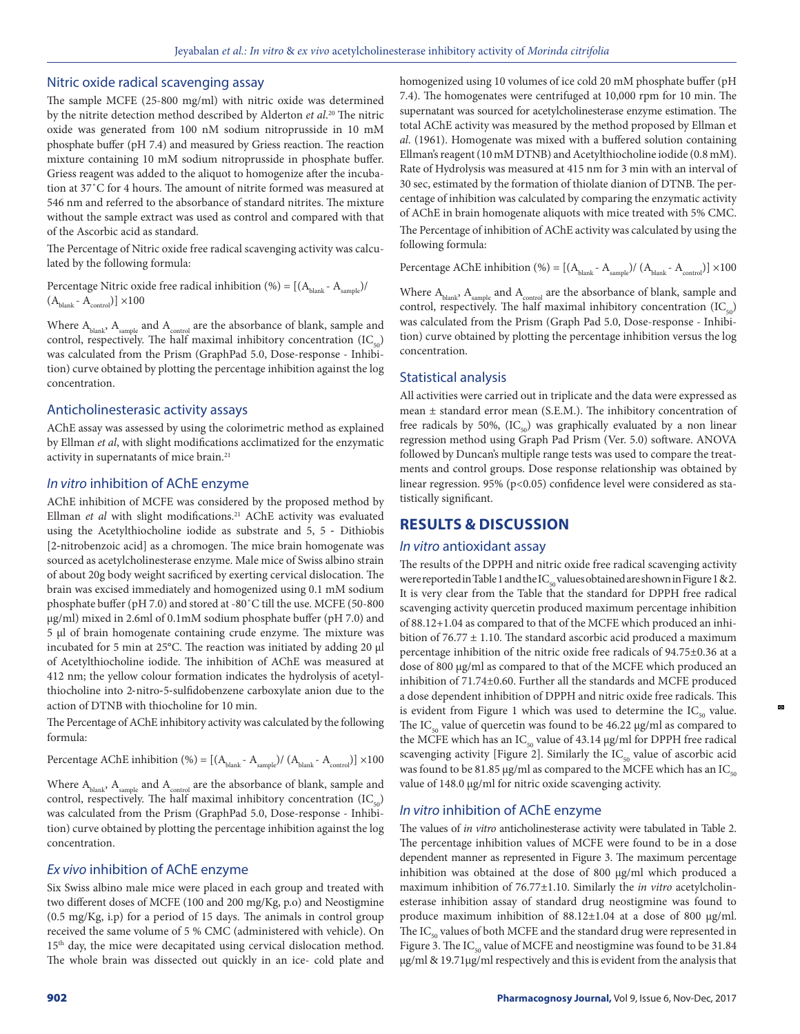## Nitric oxide radical scavenging assay

The sample MCFE (25-800 mg/ml) with nitric oxide was determined by the nitrite detection method described by Alderton *et al*. 20 The nitric oxide was generated from 100 nM sodium nitroprusside in 10 mM phosphate buffer (pH 7.4) and measured by Griess reaction. The reaction mixture containing 10 mM sodium nitroprusside in phosphate buffer. Griess reagent was added to the aliquot to homogenize after the incubation at 37˚C for 4 hours. The amount of nitrite formed was measured at 546 nm and referred to the absorbance of standard nitrites. The mixture without the sample extract was used as control and compared with that of the Ascorbic acid as standard.

The Percentage of Nitric oxide free radical scavenging activity was calculated by the following formula:

Percentage Nitric oxide free radical inhibition (%) =  $[(A_{\text{blank}} - A_{\text{sample}})/$  $(A_{\text{blank}} - A_{\text{control}})] \times 100$ 

Where  $\rm A_{\rm blank}, \rm \ A_{\rm sample}$  and  $\rm A_{\rm control}$  are the absorbance of blank, sample and control, respectively. The half maximal inhibitory concentration  $(IC_{50})$ was calculated from the Prism (GraphPad 5.0, Dose-response - Inhibition) curve obtained by plotting the percentage inhibition against the log concentration.

## Anticholinesterasic activity assays

AChE assay was assessed by using the colorimetric method as explained by Ellman *et al*, with slight modifications acclimatized for the enzymatic activity in supernatants of mice brain.<sup>21</sup>

# *In vitro* inhibition of AChE enzyme

AChE inhibition of MCFE was considered by the proposed method by Ellman *et al* with slight modifications.<sup>21</sup> AChE activity was evaluated using the Acetylthiocholine iodide as substrate and 5, 5 ‐ Dithiobis [2-nitrobenzoic acid] as a chromogen. The mice brain homogenate was sourced as acetylcholinesterase enzyme. Male mice of Swiss albino strain of about 20g body weight sacrificed by exerting cervical dislocation. The brain was excised immediately and homogenized using 0.1 mM sodium phosphate buffer (pH 7.0) and stored at -80˚C till the use. MCFE (50-800 µg/ml) mixed in 2.6ml of 0.1mM sodium phosphate buffer (pH 7.0) and 5 µl of brain homogenate containing crude enzyme. The mixture was incubated for 5 min at 25°C. The reaction was initiated by adding 20 µl of Acetylthiocholine iodide. The inhibition of AChE was measured at 412 nm; the yellow colour formation indicates the hydrolysis of acetylthiocholine into 2‐nitro‐5‐sulfidobenzene carboxylate anion due to the action of DTNB with thiocholine for 10 min.

The Percentage of AChE inhibitory activity was calculated by the following formula:

Percentage AChE inhibition (%) =  $[(A_{\text{blank}} - A_{\text{sample}})/ (A_{\text{blank}} - A_{\text{control}})] \times 100$ 

Where  $\rm A_{\rm blank}, \rm A_{\rm sample}$  and  $\rm A_{\rm control}$  are the absorbance of blank, sample and control, respectively. The half maximal inhibitory concentration  $(IC_{50})$ was calculated from the Prism (GraphPad 5.0, Dose-response - Inhibition) curve obtained by plotting the percentage inhibition against the log concentration.

# *Ex vivo* inhibition of AChE enzyme

Six Swiss albino male mice were placed in each group and treated with two different doses of MCFE (100 and 200 mg/Kg, p.o) and Neostigmine (0.5 mg/Kg, i.p) for a period of 15 days. The animals in control group received the same volume of 5 % CMC (administered with vehicle). On 15<sup>th</sup> day, the mice were decapitated using cervical dislocation method. The whole brain was dissected out quickly in an ice- cold plate and homogenized using 10 volumes of ice cold 20 mM phosphate buffer (pH 7.4). The homogenates were centrifuged at 10,000 rpm for 10 min. The supernatant was sourced for acetylcholinesterase enzyme estimation. The total AChE activity was measured by the method proposed by Ellman et *al*. (1961). Homogenate was mixed with a buffered solution containing Ellman's reagent (10 mM DTNB) and Acetylthiocholine iodide (0.8 mM). Rate of Hydrolysis was measured at 415 nm for 3 min with an interval of 30 sec, estimated by the formation of thiolate dianion of DTNB. The percentage of inhibition was calculated by comparing the enzymatic activity of AChE in brain homogenate aliquots with mice treated with 5% CMC.

The Percentage of inhibition of AChE activity was calculated by using the following formula:

Percentage AChE inhibition (%) =  $[(A_{\text{blank}} - A_{\text{sample}})/ (A_{\text{blank}} - A_{\text{control}})] \times 100$ 

Where  $\rm A_{\rm blank}, \rm \ A_{\rm sample}$  and  $\rm A_{\rm control}$  are the absorbance of blank, sample and control, respectively. The half maximal inhibitory concentration  $(IC_{50})$ was calculated from the Prism (Graph Pad 5.0, Dose-response - Inhibition) curve obtained by plotting the percentage inhibition versus the log concentration.

# Statistical analysis

All activities were carried out in triplicate and the data were expressed as mean ± standard error mean (S.E.M.). The inhibitory concentration of free radicals by 50%,  $(IC_{50})$  was graphically evaluated by a non linear regression method using Graph Pad Prism (Ver. 5.0) software. ANOVA followed by Duncan's multiple range tests was used to compare the treatments and control groups. Dose response relationship was obtained by linear regression. 95% (p<0.05) confidence level were considered as statistically significant.

# **RESULTS & DISCUSSION**

#### *In vitro* antioxidant assay

The results of the DPPH and nitric oxide free radical scavenging activity were reported in Table 1 and the  $IC_{50}$  values obtained are shown in Figure 1 & 2. It is very clear from the Table that the standard for DPPH free radical scavenging activity quercetin produced maximum percentage inhibition of 88.12+1.04 as compared to that of the MCFE which produced an inhibition of  $76.77 \pm 1.10$ . The standard ascorbic acid produced a maximum percentage inhibition of the nitric oxide free radicals of 94.75±0.36 at a dose of 800 µg/ml as compared to that of the MCFE which produced an inhibition of 71.74±0.60. Further all the standards and MCFE produced a dose dependent inhibition of DPPH and nitric oxide free radicals. This is evident from Figure 1 which was used to determine the  $IC_{50}$  value. The IC<sub>50</sub> value of quercetin was found to be 46.22  $\mu$ g/ml as compared to the MCFE which has an IC<sub>50</sub> value of 43.14  $\mu$ g/ml for DPPH free radical scavenging activity [Figure 2]. Similarly the  $IC_{50}$  value of ascorbic acid was found to be 81.85 µg/ml as compared to the MCFE which has an IC<sub>50</sub> value of 148.0 µg/ml for nitric oxide scavenging activity.

# *In vitro* inhibition of AChE enzyme

The values of *in vitro* anticholinesterase activity were tabulated in Table 2. The percentage inhibition values of MCFE were found to be in a dose dependent manner as represented in Figure 3. The maximum percentage inhibition was obtained at the dose of 800 µg/ml which produced a maximum inhibition of 76.77±1.10. Similarly the *in vitro* acetylcholinesterase inhibition assay of standard drug neostigmine was found to produce maximum inhibition of  $88.12 \pm 1.04$  at a dose of 800 µg/ml. The  $IC_{50}$  values of both MCFE and the standard drug were represented in Figure 3. The  $IC_{50}$  value of MCFE and neostigmine was found to be 31.84 µg/ml & 19.71µg/ml respectively and this is evident from the analysis that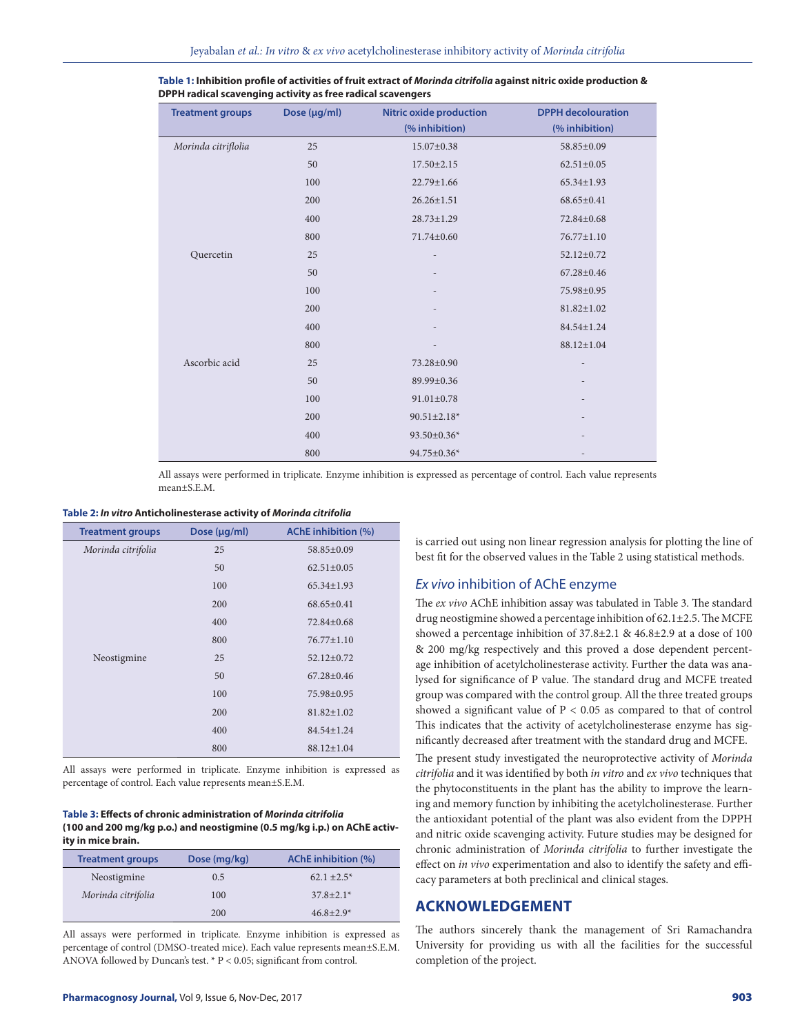| <b>Treatment groups</b> | Dose (µg/ml) | <b>Nitric oxide production</b> | <b>DPPH</b> decolouration |
|-------------------------|--------------|--------------------------------|---------------------------|
|                         |              | (% inhibition)                 | (% inhibition)            |
| Morinda citriflolia     | 25           | $15.07 \pm 0.38$               | 58.85±0.09                |
|                         | 50           | $17.50 \pm 2.15$               | $62.51 \pm 0.05$          |
|                         | 100          | 22.79±1.66                     | 65.34±1.93                |
|                         | 200          | $26.26 \pm 1.51$               | 68.65±0.41                |
|                         | 400          | $28.73 \pm 1.29$               | 72.84±0.68                |
|                         | 800          | 71.74±0.60                     | 76.77±1.10                |
| Quercetin               | 25           |                                | 52.12±0.72                |
|                         | 50           |                                | 67.28±0.46                |
|                         | 100          |                                | 75.98±0.95                |
|                         | 200          |                                | $81.82 \pm 1.02$          |
|                         | 400          |                                | 84.54±1.24                |
|                         | 800          | $\overline{a}$                 | 88.12±1.04                |
| Ascorbic acid           | 25           | 73.28±0.90                     | ٠                         |
|                         | 50           | 89.99±0.36                     |                           |
|                         | 100          | $91.01 \pm 0.78$               |                           |
|                         | 200          | $90.51 \pm 2.18*$              |                           |
|                         | 400          | 93.50±0.36*                    |                           |
|                         | 800          | 94.75±0.36*                    |                           |

**Table 1: Inhibition profile of activities of fruit extract of** *Morinda citrifolia* **against nitric oxide production & DPPH radical scavenging activity as free radical scavengers**

All assays were performed in triplicate. Enzyme inhibition is expressed as percentage of control. Each value represents mean<sup>+S.E.M</sup>.

# **Table 2:** *In vitro* **Anticholinesterase activity of** *Morinda citrifolia*

| <b>Treatment groups</b> | Dose (µg/ml) | <b>AChE</b> inhibition (%) |
|-------------------------|--------------|----------------------------|
| Morinda citrifolia      | 25           | 58.85±0.09                 |
|                         | 50           | $62.51 \pm 0.05$           |
|                         | 100          | $65.34 \pm 1.93$           |
|                         | 200          | $68.65 \pm 0.41$           |
|                         | 400          | 72.84±0.68                 |
|                         | 800          | $76.77 \pm 1.10$           |
| Neostigmine             | 25           | $52.12 \pm 0.72$           |
|                         | 50           | $67.28 \pm 0.46$           |
|                         | 100          | 75.98±0.95                 |
|                         | 200          | $81.82 \pm 1.02$           |
|                         | 400          | 84.54±1.24                 |
|                         | 800          | 88.12±1.04                 |

All assays were performed in triplicate. Enzyme inhibition is expressed as percentage of control. Each value represents mean±S.E.M.

#### **Table 3: Effects of chronic administration of** *Morinda citrifolia* **(100 and 200 mg/kg p.o.) and neostigmine (0.5 mg/kg i.p.) on AChE activity in mice brain.**

| <b>Treatment groups</b> | Dose (mg/kg) | <b>AChE</b> inhibition (%) |
|-------------------------|--------------|----------------------------|
| Neostigmine             | 0.5          | $62.1 \pm 2.5^*$           |
| Morinda citrifolia      | 100          | $37.8 + 2.1*$              |
|                         | 200          | $46.8 \pm 2.9*$            |

All assays were performed in triplicate. Enzyme inhibition is expressed as percentage of control (DMSO-treated mice). Each value represents mean±S.E.M. ANOVA followed by Duncan's test. \* P < 0.05; significant from control.

is carried out using non linear regression analysis for plotting the line of best fit for the observed values in the Table 2 using statistical methods.

#### *Ex vivo* inhibition of AChE enzyme

The *ex vivo* AChE inhibition assay was tabulated in Table 3. The standard drug neostigmine showed a percentage inhibition of 62.1±2.5. The MCFE showed a percentage inhibition of  $37.8\pm2.1$  &  $46.8\pm2.9$  at a dose of 100 & 200 mg/kg respectively and this proved a dose dependent percentage inhibition of acetylcholinesterase activity. Further the data was analysed for significance of P value. The standard drug and MCFE treated group was compared with the control group. All the three treated groups showed a significant value of  $P < 0.05$  as compared to that of control This indicates that the activity of acetylcholinesterase enzyme has significantly decreased after treatment with the standard drug and MCFE.

The present study investigated the neuroprotective activity of *Morinda citrifolia* and it was identified by both *in vitro* and *ex vivo* techniques that the phytoconstituents in the plant has the ability to improve the learning and memory function by inhibiting the acetylcholinesterase. Further the antioxidant potential of the plant was also evident from the DPPH and nitric oxide scavenging activity. Future studies may be designed for chronic administration of *Morinda citrifolia* to further investigate the effect on *in vivo* experimentation and also to identify the safety and efficacy parameters at both preclinical and clinical stages.

# **ACKNOWLEDGEMENT**

The authors sincerely thank the management of Sri Ramachandra University for providing us with all the facilities for the successful completion of the project.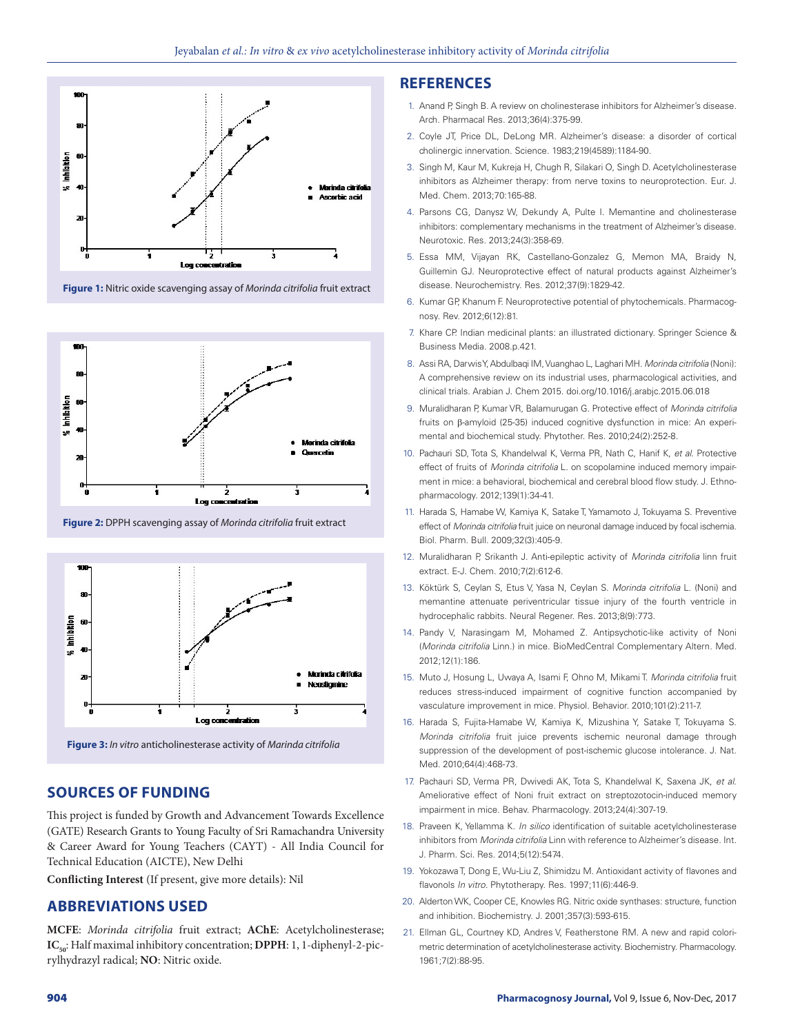

**Figure 1:** Nitric oxide scavenging assay of *Morinda citrifolia* fruit extract



**Figure 2:** DPPH scavenging assay of *Morinda citrifolia* fruit extract



**Figure 3:** *In vitro* anticholinesterase activity of *Marinda citrifolia*

# **SOURCES OF FUNDING**

This project is funded by Growth and Advancement Towards Excellence (GATE) Research Grants to Young Faculty of Sri Ramachandra University & Career Award for Young Teachers (CAYT) - All India Council for Technical Education (AICTE), New Delhi

**Conflicting Interest** (If present, give more details): Nil

# **ABBREVIATIONS USED**

**MCFE**: *Morinda citrifolia* fruit extract; **AChE**: Acetylcholinesterase; **IC<sub>50</sub>**: Half maximal inhibitory concentration; **DPPH**: 1, 1-diphenyl-2-picrylhydrazyl radical; **NO**: Nitric oxide.

# **REFERENCES**

- 1. Anand P, Singh B. A review on cholinesterase inhibitors for Alzheimer's disease. Arch. Pharmacal Res. 2013;36(4):375-99.
- 2. Coyle JT, Price DL, DeLong MR. Alzheimer's disease: a disorder of cortical cholinergic innervation. Science. 1983;219(4589):1184-90.
- 3. Singh M, Kaur M, Kukreja H, Chugh R, Silakari O, Singh D. Acetylcholinesterase inhibitors as Alzheimer therapy: from nerve toxins to neuroprotection. Eur. J. Med. Chem. 2013;70:165-88.
- 4. Parsons CG, Danysz W, Dekundy A, Pulte I. Memantine and cholinesterase inhibitors: complementary mechanisms in the treatment of Alzheimer's disease. Neurotoxic. Res. 2013;24(3):358-69.
- 5. Essa MM, Vijayan RK, Castellano-Gonzalez G, Memon MA, Braidy N, Guillemin GJ. Neuroprotective effect of natural products against Alzheimer's disease. Neurochemistry. Res. 2012;37(9):1829-42.
- 6. Kumar GP, Khanum F. Neuroprotective potential of phytochemicals. Pharmacognosy. Rev. 2012;6(12):81.
- 7. Khare CP. Indian medicinal plants: an illustrated dictionary. Springer Science & Business Media. 2008.p.421.
- 8. Assi RA, Darwis Y, Abdulbaqi IM, Vuanghao L, Laghari MH. *Morinda citrifolia* (Noni): A comprehensive review on its industrial uses, pharmacological activities, and clinical trials. Arabian J. Chem 2015. doi.org/10.1016/j.arabjc.2015.06.018
- 9. Muralidharan P, Kumar VR, Balamurugan G. Protective effect of *Morinda citrifolia* fruits on β‐amyloid (25-35) induced cognitive dysfunction in mice: An experimental and biochemical study. Phytother. Res. 2010;24(2):252-8.
- 10. Pachauri SD, Tota S, Khandelwal K, Verma PR, Nath C, Hanif K, *et al*. Protective effect of fruits of *Morinda citrifolia* L. on scopolamine induced memory impairment in mice: a behavioral, biochemical and cerebral blood flow study. J. Ethnopharmacology. 2012;139(1):34-41.
- 11. Harada S, Hamabe W, Kamiya K, Satake T, Yamamoto J, Tokuyama S. Preventive effect of *Morinda citrifolia* fruit juice on neuronal damage induced by focal ischemia. Biol. Pharm. Bull. 2009;32(3):405-9.
- 12. Muralidharan P, Srikanth J. Anti-epileptic activity of *Morinda citrifolia* linn fruit extract. E-J. Chem. 2010;7(2):612-6.
- 13. Köktürk S, Ceylan S, Etus V, Yasa N, Ceylan S. *Morinda citrifolia* L. (Noni) and memantine attenuate periventricular tissue injury of the fourth ventricle in hydrocephalic rabbits. Neural Regener. Res. 2013;8(9):773.
- 14. Pandy V, Narasingam M, Mohamed Z. Antipsychotic-like activity of Noni (*Morinda citrifolia* Linn.) in mice. BioMedCentral Complementary Altern. Med. 2012;12(1):186.
- 15. Muto J, Hosung L, Uwaya A, Isami F, Ohno M, Mikami T. *Morinda citrifolia* fruit reduces stress-induced impairment of cognitive function accompanied by vasculature improvement in mice. Physiol. Behavior. 2010;101(2):211-7.
- 16. Harada S, Fujita-Hamabe W, Kamiya K, Mizushina Y, Satake T, Tokuyama S. *Morinda citrifolia* fruit juice prevents ischemic neuronal damage through suppression of the development of post-ischemic glucose intolerance. J. Nat. Med. 2010;64(4):468-73.
- 17. Pachauri SD, Verma PR, Dwivedi AK, Tota S, Khandelwal K, Saxena JK, *et al*. Ameliorative effect of Noni fruit extract on streptozotocin-induced memory impairment in mice. Behav. Pharmacology. 2013;24(4):307-19.
- 18. Praveen K, Yellamma K. *In silico* identification of suitable acetylcholinesterase inhibitors from *Morinda citrifolia* Linn with reference to Alzheimer's disease. Int. J. Pharm. Sci. Res. 2014;5(12):5474.
- 19. Yokozawa T, Dong E, Wu-Liu Z, Shimidzu M. Antioxidant activity of flavones and flavonols *In vitro.* Phytotherapy. Res. 1997;11(6):446-9.
- 20. Alderton WK, Cooper CE, Knowles RG. Nitric oxide synthases: structure, function and inhibition. Biochemistry. J. 2001;357(3):593-615.
- 21. Ellman GL, Courtney KD, Andres V, Featherstone RM. A new and rapid colorimetric determination of acetylcholinesterase activity. Biochemistry. Pharmacology. 1961;7(2):88-95.